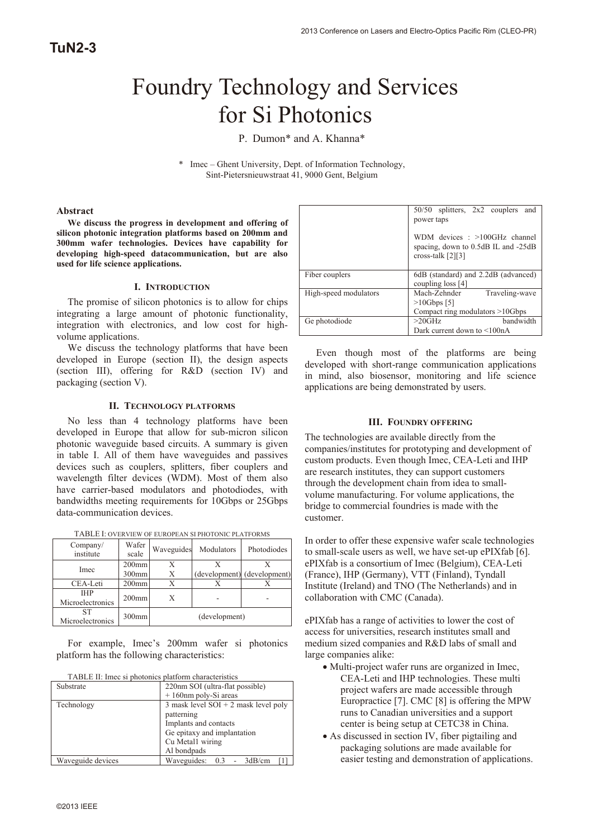# Foundry Technology and Services for Si Photonics

P. Dumon\* and A. Khanna\*

\* Imec – Ghent University, Dept. of Information Technology, Sint-Pietersnieuwstraat 41, 9000 Gent, Belgium

#### **Abstract**

**We discuss the progress in development and offering of silicon photonic integration platforms based on 200mm and 300mm wafer technologies. Devices have capability for developing high-speed datacommunication, but are also used for life science applications.** 

#### **I. INTRODUCTION**

The promise of silicon photonics is to allow for chips integrating a large amount of photonic functionality, integration with electronics, and low cost for highvolume applications.

We discuss the technology platforms that have been developed in Europe (section II), the design aspects (section III), offering for R&D (section IV) and packaging (section V).

#### **II. TECHNOLOGY PLATFORMS**

No less than 4 technology platforms have been developed in Europe that allow for sub-micron silicon photonic waveguide based circuits. A summary is given in table I. All of them have waveguides and passives devices such as couplers, splitters, fiber couplers and wavelength filter devices (WDM). Most of them also have carrier-based modulators and photodiodes, with bandwidths meeting requirements for 10Gbps or 25Gbps data-communication devices.

|  | TABLE I: OVERVIEW OF EUROPEAN SI PHOTONIC PLATFORMS |  |
|--|-----------------------------------------------------|--|
|  |                                                     |  |

| Company/<br>institute          | Wafer<br>scale    | Waveguides | Modulators    | Photodiodes                 |
|--------------------------------|-------------------|------------|---------------|-----------------------------|
| Imec                           | $200$ mm          |            |               |                             |
|                                | 300 <sub>mm</sub> | Х          |               | (development) (development) |
| CEA-Leti                       | $200$ mm          |            |               |                             |
| <b>THP</b><br>Microelectronics | $200$ mm          |            |               |                             |
| SТ<br>Microelectronics         | $300$ mm          |            | (development) |                             |

For example, Imec's 200mm wafer si photonics platform has the following characteristics:

| TABLE II: Imec si photonics platform characteristics |
|------------------------------------------------------|
|------------------------------------------------------|

| Substrate         | 220nm SOI (ultra-flat possible)        |
|-------------------|----------------------------------------|
|                   | +160nm poly-Si areas                   |
| Technology        | 3 mask level $SOI + 2$ mask level poly |
|                   | patterning                             |
|                   | Implants and contacts                  |
|                   | Ge epitaxy and implantation            |
|                   | Cu Metal1 wiring                       |
|                   | Al bondpads                            |
| Waveguide devices | Waveguides: 0.3 - 3dB/cm               |

|                       | 50/50 splitters, 2x2 couplers and<br>power taps                                             |
|-----------------------|---------------------------------------------------------------------------------------------|
|                       | WDM devices : >100GHz channel<br>spacing, down to 0.5dB IL and -25dB<br>cross-talk $[2][3]$ |
| Fiber couplers        | 6dB (standard) and 2.2dB (advanced)<br>coupling $loss [4]$                                  |
| High-speed modulators | Mach-Zehnder<br>Traveling-wave<br>$>10Gbps$ [5]                                             |
|                       | Compact ring modulators $>10Gbps$                                                           |
| Ge photodiode         | $>20$ GHz<br>bandwidth                                                                      |
|                       | Dark current down to $\leq 100nA$                                                           |

Even though most of the platforms are being developed with short-range communication applications in mind, also biosensor, monitoring and life science applications are being demonstrated by users.

## **III. FOUNDRY OFFERING**

The technologies are available directly from the companies/institutes for prototyping and development of custom products. Even though Imec, CEA-Leti and IHP are research institutes, they can support customers through the development chain from idea to smallvolume manufacturing. For volume applications, the bridge to commercial foundries is made with the customer.

In order to offer these expensive wafer scale technologies to small-scale users as well, we have set-up ePIXfab [6]. ePIXfab is a consortium of Imec (Belgium), CEA-Leti (France), IHP (Germany), VTT (Finland), Tyndall Institute (Ireland) and TNO (The Netherlands) and in collaboration with CMC (Canada).

ePIXfab has a range of activities to lower the cost of access for universities, research institutes small and medium sized companies and R&D labs of small and large companies alike:

- Multi-project wafer runs are organized in Imec, CEA-Leti and IHP technologies. These multi project wafers are made accessible through Europractice [7]. CMC [8] is offering the MPW runs to Canadian universities and a support center is being setup at CETC38 in China.
- As discussed in section IV, fiber pigtailing and packaging solutions are made available for easier testing and demonstration of applications.